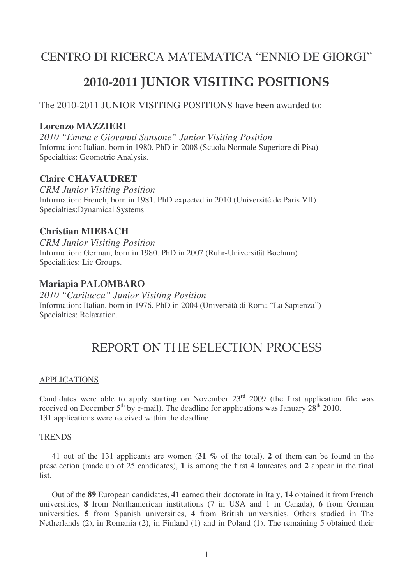# CENTRO DI RICERCA MATEMATICA "ENNIO DE GIORGI"

# **2010-2011 JUNIOR VISITING POSITIONS**

The 2010-2011 JUNIOR VISITING POSITIONS have been awarded to:

### **Lorenzo MAZZIERI**

*2010 "Emma e Giovanni Sansone" Junior Visiting Position* Information: Italian, born in 1980. PhD in 2008 (Scuola Normale Superiore di Pisa) Specialties: Geometric Analysis.

## **Claire CHAVAUDRET**

*CRM Junior Visiting Position* Information: French, born in 1981. PhD expected in 2010 (Université de Paris VII) Specialties:Dynamical Systems

## **Christian MIEBACH**

*CRM Junior Visiting Position* Information: German, born in 1980. PhD in 2007 (Ruhr-Universität Bochum) Specialities: Lie Groups.

#### **Mariapia PALOMBARO**

*2010 "Carilucca" Junior Visiting Position* Information: Italian, born in 1976. PhD in 2004 (Università di Roma "La Sapienza") Specialties: Relaxation.

# REPORT ON THE SELECTION PROCESS

#### APPLICATIONS

Candidates were able to apply starting on November  $23<sup>rd</sup>$  2009 (the first application file was received on December  $5^{th}$  by e-mail). The deadline for applications was January  $28^{th}$  2010. 131 applications were received within the deadline.

#### **TRENDS**

41 out of the 131 applicants are women (**31 %** of the total). **2** of them can be found in the preselection (made up of 25 candidates), **1** is among the first 4 laureates and **2** appear in the final list.

Out of the **89** European candidates, **41** earned their doctorate in Italy, **14** obtained it from French universities, **8** from Northamerican institutions (7 in USA and 1 in Canada), **6** from German universities, **5** from Spanish universities, **4** from British universities. Others studied in The Netherlands (2), in Romania (2), in Finland (1) and in Poland (1). The remaining 5 obtained their